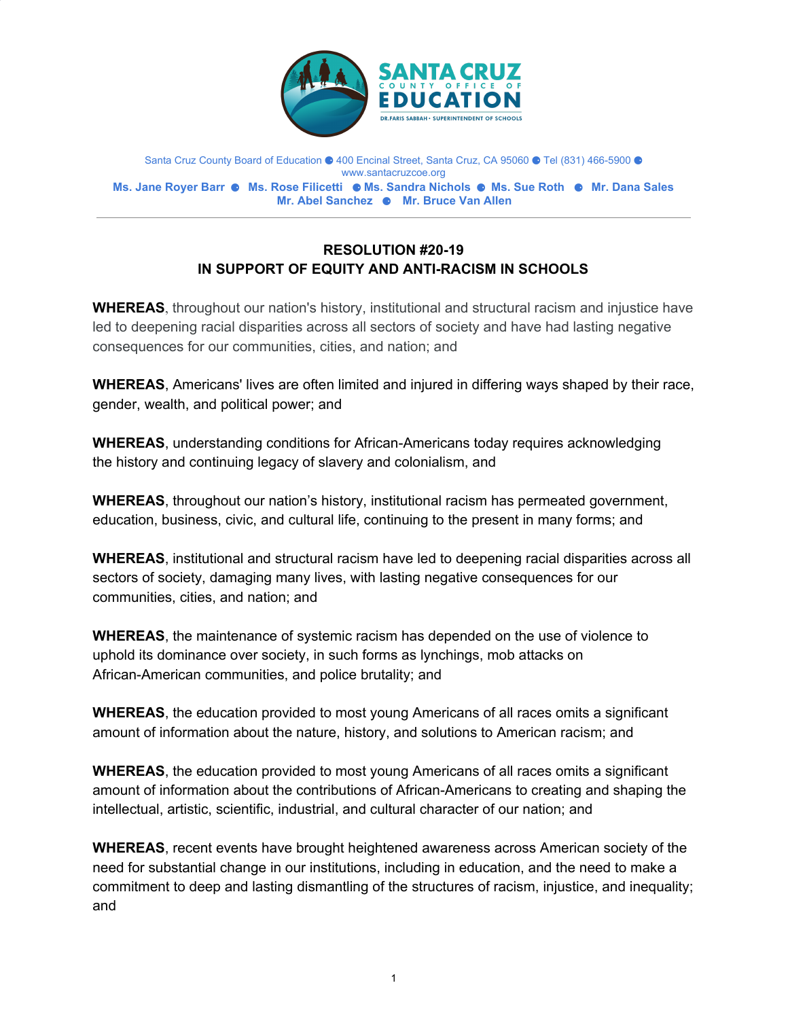

Santa Cruz County Board of Education ● 400 Encinal Street, Santa Cruz, CA 95060 ● Tel (831) 466-5900 ● www.santacruzcoe.org **Ms. Jane Royer Barr** ⚈ **Ms. Rose Filicetti** ⚈ **Ms. Sandra Nichols** ⚈ **Ms. Sue Roth** ⚈ **Mr. Dana Sales Mr. Abel Sanchez** ⚈ **Mr. Bruce Van Allen**

## **RESOLUTION #20-19 IN SUPPORT OF EQUITY AND ANTI-RACISM IN SCHOOLS**

**WHEREAS**, throughout our nation's history, institutional and structural racism and injustice have led to deepening racial disparities across all sectors of society and have had lasting negative consequences for our communities, cities, and nation; and

**WHEREAS**, Americans' lives are often limited and injured in differing ways shaped by their race, gender, wealth, and political power; and

**WHEREAS**, understanding conditions for African-Americans today requires acknowledging the history and continuing legacy of slavery and colonialism, and

**WHEREAS**, throughout our nation's history, institutional racism has permeated government, education, business, civic, and cultural life, continuing to the present in many forms; and

**WHEREAS**, institutional and structural racism have led to deepening racial disparities across all sectors of society, damaging many lives, with lasting negative consequences for our communities, cities, and nation; and

**WHEREAS**, the maintenance of systemic racism has depended on the use of violence to uphold its dominance over society, in such forms as lynchings, mob attacks on African-American communities, and police brutality; and

**WHEREAS**, the education provided to most young Americans of all races omits a significant amount of information about the nature, history, and solutions to American racism; and

**WHEREAS**, the education provided to most young Americans of all races omits a significant amount of information about the contributions of African-Americans to creating and shaping the intellectual, artistic, scientific, industrial, and cultural character of our nation; and

**WHEREAS**, recent events have brought heightened awareness across American society of the need for substantial change in our institutions, including in education, and the need to make a commitment to deep and lasting dismantling of the structures of racism, injustice, and inequality; and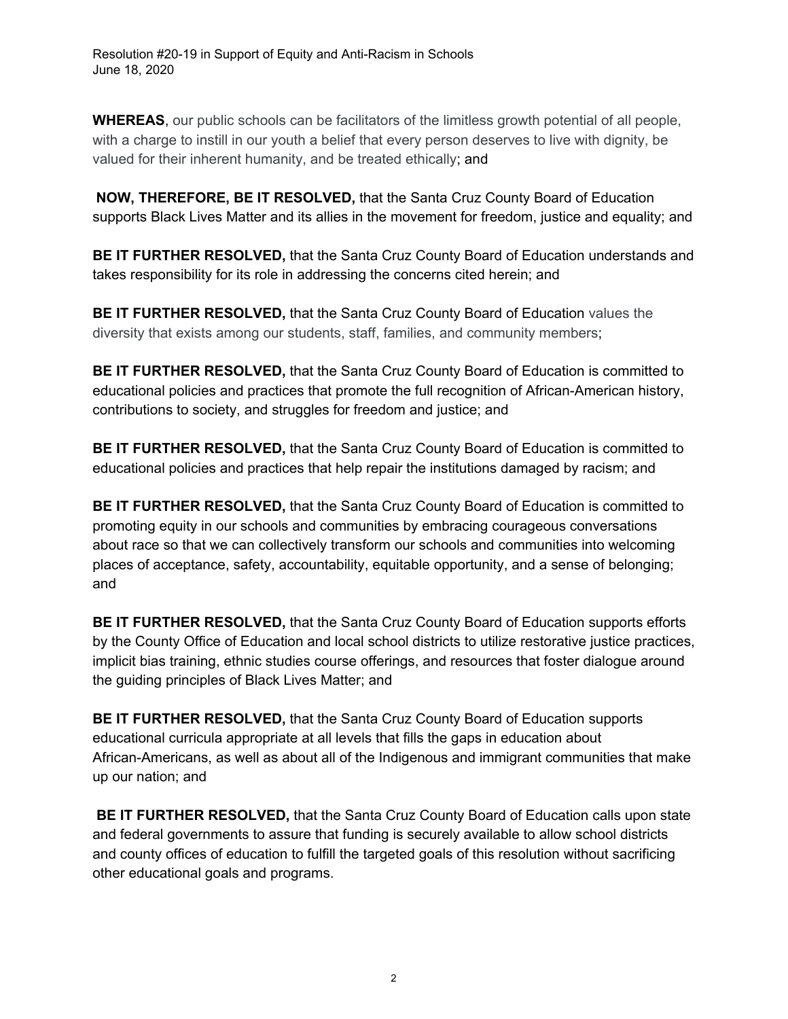**WHEREAS**, our public schools can be facilitators of the limitless growth potential of all people, with a charge to instill in our youth a belief that every person deserves to live with dignity, be valued for their inherent humanity, and be treated ethically; and

**NOW, THEREFORE, BE IT RESOLVED,** that the Santa Cruz County Board of Education supports Black Lives Matter and its allies in the movement for freedom, justice and equality; and

**BE IT FURTHER RESOLVED,** that the Santa Cruz County Board of Education understands and takes responsibility for its role in addressing the concerns cited herein; and

**BE IT FURTHER RESOLVED,** that the Santa Cruz County Board of Education values the diversity that exists among our students, staff, families, and community members;

**BE IT FURTHER RESOLVED,** that the Santa Cruz County Board of Education is committed to educational policies and practices that promote the full recognition of African-American history, contributions to society, and struggles for freedom and justice; and

**BE IT FURTHER RESOLVED,** that the Santa Cruz County Board of Education is committed to educational policies and practices that help repair the institutions damaged by racism; and

**BE IT FURTHER RESOLVED,** that the Santa Cruz County Board of Education is committed to promoting equity in our schools and communities by embracing courageous conversations about race so that we can collectively transform our schools and communities into welcoming places of acceptance, safety, accountability, equitable opportunity, and a sense of belonging; and

**BE IT FURTHER RESOLVED,** that the Santa Cruz County Board of Education supports efforts by the County Office of Education and local school districts to utilize restorative justice practices, implicit bias training, ethnic studies course offerings, and resources that foster dialogue around the guiding principles of Black Lives Matter; and

**BE IT FURTHER RESOLVED,** that the Santa Cruz County Board of Education supports educational curricula appropriate at all levels that fills the gaps in education about African-Americans, as well as about all of the Indigenous and immigrant communities that make up our nation; and

**BE IT FURTHER RESOLVED,** that the Santa Cruz County Board of Education calls upon state and federal governments to assure that funding is securely available to allow school districts and county offices of education to fulfill the targeted goals of this resolution without sacrificing other educational goals and programs.